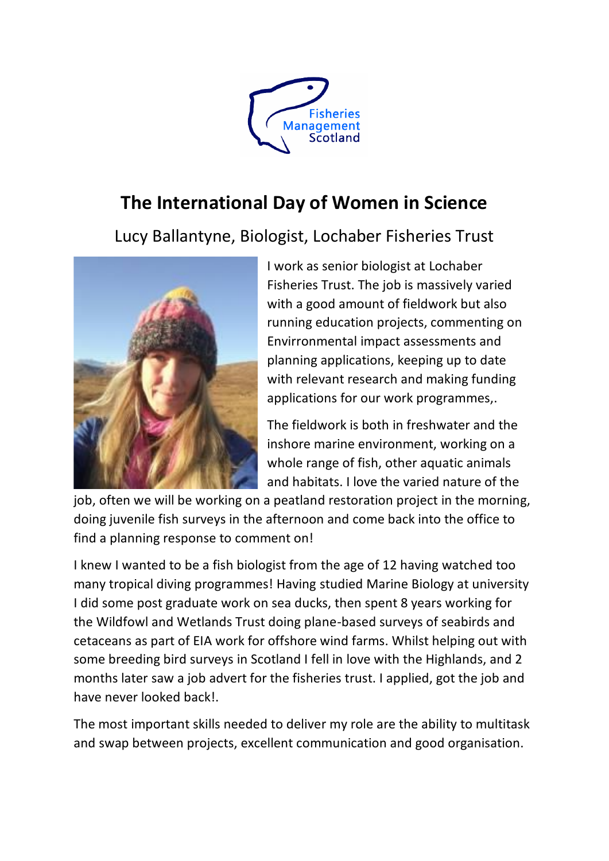

## **The International Day of Women in Science**

Lucy Ballantyne, Biologist, Lochaber Fisheries Trust



I work as senior biologist at Lochaber Fisheries Trust. The job is massively varied with a good amount of fieldwork but also running education projects, commenting on Envirronmental impact assessments and planning applications, keeping up to date with relevant research and making funding applications for our work programmes,.

The fieldwork is both in freshwater and the inshore marine environment, working on a whole range of fish, other aquatic animals and habitats. I love the varied nature of the

job, often we will be working on a peatland restoration project in the morning, doing juvenile fish surveys in the afternoon and come back into the office to find a planning response to comment on!

I knew I wanted to be a fish biologist from the age of 12 having watched too many tropical diving programmes! Having studied Marine Biology at university I did some post graduate work on sea ducks, then spent 8 years working for the Wildfowl and Wetlands Trust doing plane-based surveys of seabirds and cetaceans as part of EIA work for offshore wind farms. Whilst helping out with some breeding bird surveys in Scotland I fell in love with the Highlands, and 2 months later saw a job advert for the fisheries trust. I applied, got the job and have never looked back!.

The most important skills needed to deliver my role are the ability to multitask and swap between projects, excellent communication and good organisation.